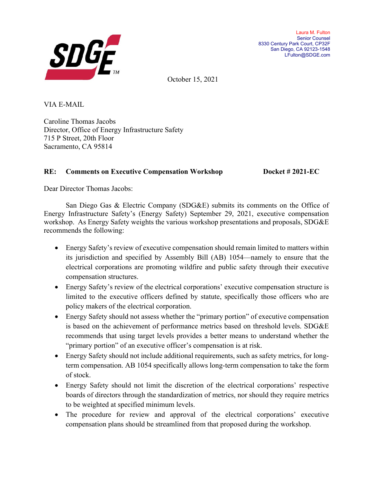

October 15, 2021

VIA E-MAIL

Caroline Thomas Jacobs Director, Office of Energy Infrastructure Safety 715 P Street, 20th Floor Sacramento, CA 95814

# **RE: Comments on Executive Compensation Workshop Docket # 2021-EC**

Dear Director Thomas Jacobs:

San Diego Gas & Electric Company (SDG&E) submits its comments on the Office of Energy Infrastructure Safety's (Energy Safety) September 29, 2021, executive compensation workshop. As Energy Safety weights the various workshop presentations and proposals, SDG&E recommends the following:

- Energy Safety's review of executive compensation should remain limited to matters within its jurisdiction and specified by Assembly Bill (AB) 1054—namely to ensure that the electrical corporations are promoting wildfire and public safety through their executive compensation structures.
- Energy Safety's review of the electrical corporations' executive compensation structure is limited to the executive officers defined by statute, specifically those officers who are policy makers of the electrical corporation.
- Energy Safety should not assess whether the "primary portion" of executive compensation is based on the achievement of performance metrics based on threshold levels. SDG&E recommends that using target levels provides a better means to understand whether the "primary portion" of an executive officer's compensation is at risk.
- Energy Safety should not include additional requirements, such as safety metrics, for longterm compensation. AB 1054 specifically allows long-term compensation to take the form of stock.
- Energy Safety should not limit the discretion of the electrical corporations' respective boards of directors through the standardization of metrics, nor should they require metrics to be weighted at specified minimum levels.
- The procedure for review and approval of the electrical corporations' executive compensation plans should be streamlined from that proposed during the workshop.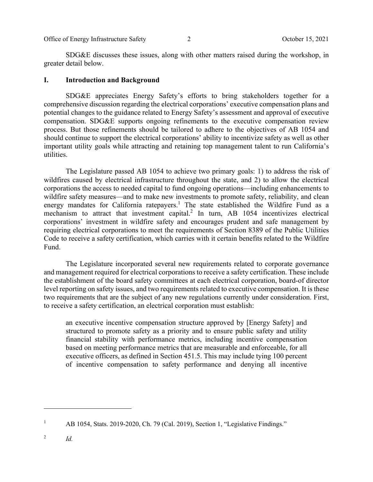Office of Energy Infrastructure Safety 2 2 Corober 15, 2021

SDG&E discusses these issues, along with other matters raised during the workshop, in greater detail below.

#### **I. Introduction and Background**

SDG&E appreciates Energy Safety's efforts to bring stakeholders together for a comprehensive discussion regarding the electrical corporations' executive compensation plans and potential changes to the guidance related to Energy Safety's assessment and approval of executive compensation. SDG&E supports ongoing refinements to the executive compensation review process. But those refinements should be tailored to adhere to the objectives of AB 1054 and should continue to support the electrical corporations' ability to incentivize safety as well as other important utility goals while attracting and retaining top management talent to run California's utilities.

The Legislature passed AB 1054 to achieve two primary goals: 1) to address the risk of wildfires caused by electrical infrastructure throughout the state, and 2) to allow the electrical corporations the access to needed capital to fund ongoing operations—including enhancements to wildfire safety measures—and to make new investments to promote safety, reliability, and clean energy mandates for California ratepayers.<sup>1</sup> The state established the Wildfire Fund as a mechanism to attract that investment capital.<sup>2</sup> In turn, AB 1054 incentivizes electrical corporations' investment in wildfire safety and encourages prudent and safe management by requiring electrical corporations to meet the requirements of Section 8389 of the Public Utilities Code to receive a safety certification, which carries with it certain benefits related to the Wildfire Fund.

The Legislature incorporated several new requirements related to corporate governance and management required for electrical corporations to receive a safety certification. These include the establishment of the board safety committees at each electrical corporation, board-of director level reporting on safety issues, and two requirements related to executive compensation. It is these two requirements that are the subject of any new regulations currently under consideration. First, to receive a safety certification, an electrical corporation must establish:

an executive incentive compensation structure approved by [Energy Safety] and structured to promote safety as a priority and to ensure public safety and utility financial stability with performance metrics, including incentive compensation based on meeting performance metrics that are measurable and enforceable, for all executive officers, as defined in Section 451.5. This may include tying 100 percent of incentive compensation to safety performance and denying all incentive

<sup>1</sup> AB 1054, Stats. 2019-2020, Ch. 79 (Cal. 2019), Section 1, "Legislative Findings."

<sup>2</sup> *Id.*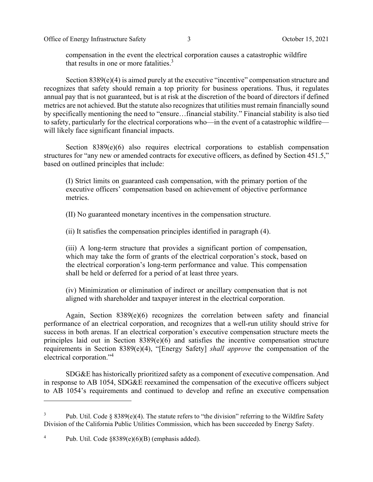compensation in the event the electrical corporation causes a catastrophic wildfire that results in one or more fatalities. $3$ 

Section 8389(e)(4) is aimed purely at the executive "incentive" compensation structure and recognizes that safety should remain a top priority for business operations. Thus, it regulates annual pay that is not guaranteed, but is at risk at the discretion of the board of directors if defined metrics are not achieved. But the statute also recognizes that utilities must remain financially sound by specifically mentioning the need to "ensure…financial stability." Financial stability is also tied to safety, particularly for the electrical corporations who—in the event of a catastrophic wildfire will likely face significant financial impacts.

Section 8389(e)(6) also requires electrical corporations to establish compensation structures for "any new or amended contracts for executive officers, as defined by Section 451.5," based on outlined principles that include:

(I) Strict limits on guaranteed cash compensation, with the primary portion of the executive officers' compensation based on achievement of objective performance metrics.

(II) No guaranteed monetary incentives in the compensation structure.

(ii) It satisfies the compensation principles identified in paragraph (4).

(iii) A long-term structure that provides a significant portion of compensation, which may take the form of grants of the electrical corporation's stock, based on the electrical corporation's long-term performance and value. This compensation shall be held or deferred for a period of at least three years.

(iv) Minimization or elimination of indirect or ancillary compensation that is not aligned with shareholder and taxpayer interest in the electrical corporation.

Again, Section 8389(e)(6) recognizes the correlation between safety and financial performance of an electrical corporation, and recognizes that a well-run utility should strive for success in both arenas. If an electrical corporation's executive compensation structure meets the principles laid out in Section 8389(e)(6) and satisfies the incentive compensation structure requirements in Section 8389(e)(4), "[Energy Safety] *shall approve* the compensation of the electrical corporation."4

SDG&E has historically prioritized safety as a component of executive compensation. And in response to AB 1054, SDG&E reexamined the compensation of the executive officers subject to AB 1054's requirements and continued to develop and refine an executive compensation

<sup>3</sup> Pub. Util. Code  $\S 8389(e)(4)$ . The statute refers to "the division" referring to the Wildfire Safety Division of the California Public Utilities Commission, which has been succeeded by Energy Safety.

<sup>4</sup> Pub. Util. Code §8389(e)(6)(B) (emphasis added).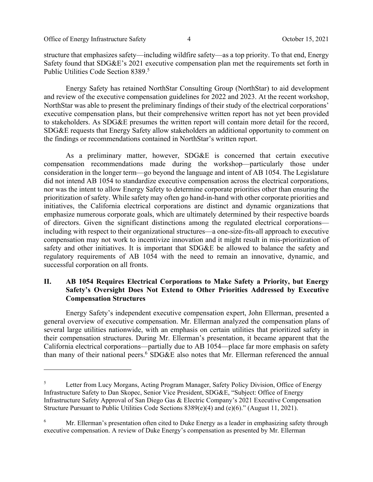structure that emphasizes safety—including wildfire safety—as a top priority. To that end, Energy Safety found that SDG&E's 2021 executive compensation plan met the requirements set forth in Public Utilities Code Section 8389.<sup>5</sup>

Energy Safety has retained NorthStar Consulting Group (NorthStar) to aid development and review of the executive compensation guidelines for 2022 and 2023. At the recent workshop, NorthStar was able to present the preliminary findings of their study of the electrical corporations' executive compensation plans, but their comprehensive written report has not yet been provided to stakeholders. As SDG&E presumes the written report will contain more detail for the record, SDG&E requests that Energy Safety allow stakeholders an additional opportunity to comment on the findings or recommendations contained in NorthStar's written report.

As a preliminary matter, however, SDG&E is concerned that certain executive compensation recommendations made during the workshop—particularly those under consideration in the longer term—go beyond the language and intent of AB 1054. The Legislature did not intend AB 1054 to standardize executive compensation across the electrical corporations, nor was the intent to allow Energy Safety to determine corporate priorities other than ensuring the prioritization of safety. While safety may often go hand-in-hand with other corporate priorities and initiatives, the California electrical corporations are distinct and dynamic organizations that emphasize numerous corporate goals, which are ultimately determined by their respective boards of directors. Given the significant distinctions among the regulated electrical corporations including with respect to their organizational structures—a one-size-fits-all approach to executive compensation may not work to incentivize innovation and it might result in mis-prioritization of safety and other initiatives. It is important that SDG&E be allowed to balance the safety and regulatory requirements of AB 1054 with the need to remain an innovative, dynamic, and successful corporation on all fronts.

## **II. AB 1054 Requires Electrical Corporations to Make Safety a Priority, but Energy Safety's Oversight Does Not Extend to Other Priorities Addressed by Executive Compensation Structures**

Energy Safety's independent executive compensation expert, John Ellerman, presented a general overview of executive compensation. Mr. Ellerman analyzed the compensation plans of several large utilities nationwide, with an emphasis on certain utilities that prioritized safety in their compensation structures. During Mr. Ellerman's presentation, it became apparent that the California electrical corporations—partially due to AB 1054—place far more emphasis on safety than many of their national peers.<sup>6</sup> SDG&E also notes that Mr. Ellerman referenced the annual

<sup>5</sup> Letter from Lucy Morgans, Acting Program Manager, Safety Policy Division, Office of Energy Infrastructure Safety to Dan Skopec, Senior Vice President, SDG&E, "Subject: Office of Energy Infrastructure Safety Approval of San Diego Gas & Electric Company's 2021 Executive Compensation Structure Pursuant to Public Utilities Code Sections 8389(e)(4) and (e)(6)." (August 11, 2021).

<sup>6</sup> Mr. Ellerman's presentation often cited to Duke Energy as a leader in emphasizing safety through executive compensation. A review of Duke Energy's compensation as presented by Mr. Ellerman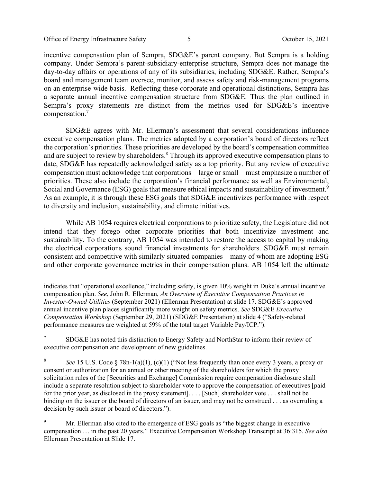Office of Energy Infrastructure Safety 5 5 The Second Level of Energy Infrastructure Safety 5 and 5 October 15, 2021

incentive compensation plan of Sempra, SDG&E's parent company. But Sempra is a holding company. Under Sempra's parent-subsidiary-enterprise structure, Sempra does not manage the day-to-day affairs or operations of any of its subsidiaries, including SDG&E. Rather, Sempra's board and management team oversee, monitor, and assess safety and risk-management programs on an enterprise-wide basis. Reflecting these corporate and operational distinctions, Sempra has a separate annual incentive compensation structure from SDG&E. Thus the plan outlined in Sempra's proxy statements are distinct from the metrics used for SDG&E's incentive compensation.7

SDG&E agrees with Mr. Ellerman's assessment that several considerations influence executive compensation plans. The metrics adopted by a corporation's board of directors reflect the corporation's priorities. These priorities are developed by the board's compensation committee and are subject to review by shareholders.<sup>8</sup> Through its approved executive compensation plans to date, SDG&E has repeatedly acknowledged safety as a top priority. But any review of executive compensation must acknowledge that corporations—large or small—must emphasize a number of priorities. These also include the corporation's financial performance as well as Environmental, Social and Governance (ESG) goals that measure ethical impacts and sustainability of investment.<sup>9</sup> As an example, it is through these ESG goals that SDG&E incentivizes performance with respect to diversity and inclusion, sustainability, and climate initiatives.

While AB 1054 requires electrical corporations to prioritize safety, the Legislature did not intend that they forego other corporate priorities that both incentivize investment and sustainability. To the contrary, AB 1054 was intended to restore the access to capital by making the electrical corporations sound financial investments for shareholders. SDG&E must remain consistent and competitive with similarly situated companies—many of whom are adopting ESG and other corporate governance metrics in their compensation plans. AB 1054 left the ultimate

indicates that "operational excellence," including safety, is given 10% weight in Duke's annual incentive compensation plan. *See*, John R. Ellerman, *An Overview of Executive Compensation Practices in Investor-Owned Utilities* (September 2021) (Ellerman Presentation) at slide 17. SDG&E's approved annual incentive plan places significantly more weight on safety metrics. *See* SDG&E *Executive Compensation Workshop* (September 29, 2021) (SDG&E Presentation) at slide 4 ("Safety-related performance measures are weighted at 59% of the total target Variable Pay/ICP.").

<sup>7</sup> SDG&E has noted this distinction to Energy Safety and NorthStar to inform their review of executive compensation and development of new guidelines.

<sup>8</sup> *See* 15 U.S. Code § 78n-1(a)(1), (c)(1) ("Not less frequently than once every 3 years, a proxy or consent or authorization for an annual or other meeting of the shareholders for which the proxy solicitation rules of the [Securities and Exchange] Commission require compensation disclosure shall include a separate resolution subject to shareholder vote to approve the compensation of executives [paid for the prior year, as disclosed in the proxy statement]. . . . [Such] shareholder vote . . . shall not be binding on the issuer or the board of directors of an issuer, and may not be construed . . . as overruling a decision by such issuer or board of directors.").

<sup>9</sup> Mr. Ellerman also cited to the emergence of ESG goals as "the biggest change in executive compensation … in the past 20 years." Executive Compensation Workshop Transcript at 36:315. *See also* Ellerman Presentation at Slide 17.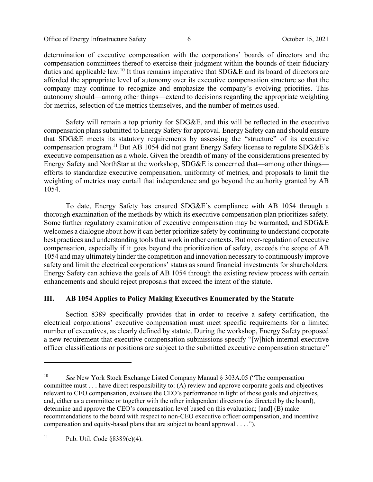Office of Energy Infrastructure Safety 6 6 0 0 0 October 15, 2021

determination of executive compensation with the corporations' boards of directors and the compensation committees thereof to exercise their judgment within the bounds of their fiduciary duties and applicable law.10 It thus remains imperative that SDG&E and its board of directors are afforded the appropriate level of autonomy over its executive compensation structure so that the company may continue to recognize and emphasize the company's evolving priorities. This autonomy should—among other things—extend to decisions regarding the appropriate weighting for metrics, selection of the metrics themselves, and the number of metrics used.

Safety will remain a top priority for SDG&E, and this will be reflected in the executive compensation plans submitted to Energy Safety for approval. Energy Safety can and should ensure that SDG&E meets its statutory requirements by assessing the "structure" of its executive compensation program.11 But AB 1054 did not grant Energy Safety license to regulate SDG&E's executive compensation as a whole. Given the breadth of many of the considerations presented by Energy Safety and NorthStar at the workshop, SDG&E is concerned that—among other things efforts to standardize executive compensation, uniformity of metrics, and proposals to limit the weighting of metrics may curtail that independence and go beyond the authority granted by AB 1054.

To date, Energy Safety has ensured SDG&E's compliance with AB 1054 through a thorough examination of the methods by which its executive compensation plan prioritizes safety. Some further regulatory examination of executive compensation may be warranted, and SDG&E welcomes a dialogue about how it can better prioritize safety by continuing to understand corporate best practices and understanding tools that work in other contexts. But over-regulation of executive compensation, especially if it goes beyond the prioritization of safety, exceeds the scope of AB 1054 and may ultimately hinder the competition and innovation necessary to continuously improve safety and limit the electrical corporations' status as sound financial investments for shareholders. Energy Safety can achieve the goals of AB 1054 through the existing review process with certain enhancements and should reject proposals that exceed the intent of the statute.

# **III. AB 1054 Applies to Policy Making Executives Enumerated by the Statute**

Section 8389 specifically provides that in order to receive a safety certification, the electrical corporations' executive compensation must meet specific requirements for a limited number of executives, as clearly defined by statute. During the workshop, Energy Safety proposed a new requirement that executive compensation submissions specify "[w]hich internal executive officer classifications or positions are subject to the submitted executive compensation structure"

<sup>10</sup> *See* New York Stock Exchange Listed Company Manual § 303A.05 ("The compensation committee must . . . have direct responsibility to: (A) review and approve corporate goals and objectives relevant to CEO compensation, evaluate the CEO's performance in light of those goals and objectives, and, either as a committee or together with the other independent directors (as directed by the board), determine and approve the CEO's compensation level based on this evaluation; [and] (B) make recommendations to the board with respect to non-CEO executive officer compensation, and incentive compensation and equity-based plans that are subject to board approval . . . .").

<sup>&</sup>lt;sup>11</sup> Pub. Util. Code  $§8389(e)(4)$ .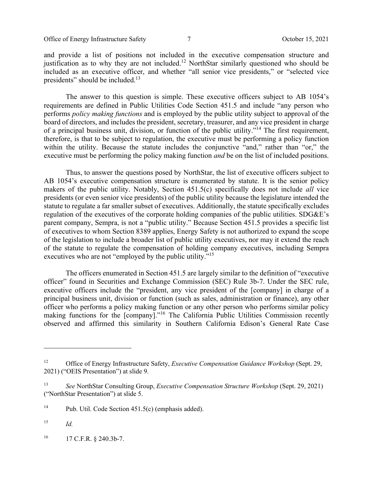Office of Energy Infrastructure Safety 7 7 Corober 15, 2021

and provide a list of positions not included in the executive compensation structure and justification as to why they are not included.<sup>12</sup> NorthStar similarly questioned who should be included as an executive officer, and whether "all senior vice presidents," or "selected vice presidents" should be included.<sup>13</sup>

The answer to this question is simple. These executive officers subject to AB 1054's requirements are defined in Public Utilities Code Section 451.5 and include "any person who performs *policy making functions* and is employed by the public utility subject to approval of the board of directors, and includes the president, secretary, treasurer, and any vice president in charge of a principal business unit, division, or function of the public utility."14 The first requirement, therefore, is that to be subject to regulation, the executive must be performing a policy function within the utility. Because the statute includes the conjunctive "and," rather than "or," the executive must be performing the policy making function *and* be on the list of included positions.

Thus, to answer the questions posed by NorthStar, the list of executive officers subject to AB 1054's executive compensation structure is enumerated by statute. It is the senior policy makers of the public utility. Notably, Section 451.5(c) specifically does not include *all* vice presidents (or even senior vice presidents) of the public utility because the legislature intended the statute to regulate a far smaller subset of executives. Additionally, the statute specifically excludes regulation of the executives of the corporate holding companies of the public utilities. SDG&E's parent company, Sempra, is not a "public utility." Because Section 451.5 provides a specific list of executives to whom Section 8389 applies, Energy Safety is not authorized to expand the scope of the legislation to include a broader list of public utility executives, nor may it extend the reach of the statute to regulate the compensation of holding company executives, including Sempra executives who are not "employed by the public utility."<sup>15</sup>

The officers enumerated in Section 451.5 are largely similar to the definition of "executive officer" found in Securities and Exchange Commission (SEC) Rule 3b-7. Under the SEC rule, executive officers include the "president, any vice president of the [company] in charge of a principal business unit, division or function (such as sales, administration or finance), any other officer who performs a policy making function or any other person who performs similar policy making functions for the [company]."16 The California Public Utilities Commission recently observed and affirmed this similarity in Southern California Edison's General Rate Case

 $^{16}$  17 C.F.R. § 240.3b-7.

<sup>&</sup>lt;sup>12</sup> Office of Energy Infrastructure Safety, *Executive Compensation Guidance Workshop* (Sept. 29, 2021) ("OEIS Presentation") at slide 9.

<sup>13</sup> *See* NorthStar Consulting Group, *Executive Compensation Structure Workshop* (Sept. 29, 2021) ("NorthStar Presentation") at slide 5.

<sup>&</sup>lt;sup>14</sup> Pub. Util. Code Section  $451.5(c)$  (emphasis added).

<sup>15</sup> *Id.*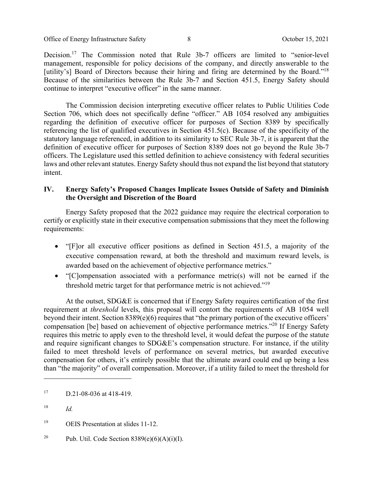Office of Energy Infrastructure Safety 8 October 15, 2021

Decision.17 The Commission noted that Rule 3b-7 officers are limited to "senior-level management, responsible for policy decisions of the company, and directly answerable to the [utility's] Board of Directors because their hiring and firing are determined by the Board."<sup>18</sup> Because of the similarities between the Rule 3b-7 and Section 451.5, Energy Safety should continue to interpret "executive officer" in the same manner.

The Commission decision interpreting executive officer relates to Public Utilities Code Section 706, which does not specifically define "officer." AB 1054 resolved any ambiguities regarding the definition of executive officer for purposes of Section 8389 by specifically referencing the list of qualified executives in Section 451.5(c). Because of the specificity of the statutory language referenced, in addition to its similarity to SEC Rule 3b-7, it is apparent that the definition of executive officer for purposes of Section 8389 does not go beyond the Rule 3b-7 officers. The Legislature used this settled definition to achieve consistency with federal securities laws and other relevant statutes. Energy Safety should thus not expand the list beyond that statutory intent.

## **IV. Energy Safety's Proposed Changes Implicate Issues Outside of Safety and Diminish the Oversight and Discretion of the Board**

Energy Safety proposed that the 2022 guidance may require the electrical corporation to certify or explicitly state in their executive compensation submissions that they meet the following requirements:

- "[F]or all executive officer positions as defined in Section 451.5, a majority of the executive compensation reward, at both the threshold and maximum reward levels, is awarded based on the achievement of objective performance metrics."
- "[C]ompensation associated with a performance metric(s) will not be earned if the threshold metric target for that performance metric is not achieved."19

At the outset, SDG&E is concerned that if Energy Safety requires certification of the first requirement at *threshold* levels, this proposal will contort the requirements of AB 1054 well beyond their intent. Section 8389(e)(6) requires that "the primary portion of the executive officers' compensation [be] based on achievement of objective performance metrics."20 If Energy Safety requires this metric to apply even to the threshold level, it would defeat the purpose of the statute and require significant changes to SDG&E's compensation structure. For instance, if the utility failed to meet threshold levels of performance on several metrics, but awarded executive compensation for others, it's entirely possible that the ultimate award could end up being a less than "the majority" of overall compensation. Moreover, if a utility failed to meet the threshold for

 $17 \quad D.21 - 08 - 036 \text{ at } 418 - 419.$ 

<sup>18</sup> *Id.*

<sup>&</sup>lt;sup>19</sup> OEIS Presentation at slides 11-12.

<sup>&</sup>lt;sup>20</sup> Pub. Util. Code Section  $8389(e)(6)(A)(i)(I)$ .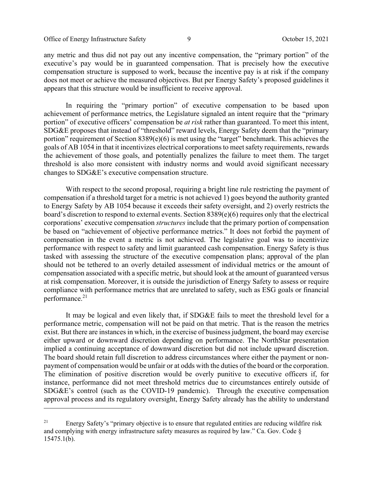Office of Energy Infrastructure Safety 9 October 15, 2021

any metric and thus did not pay out any incentive compensation, the "primary portion" of the executive's pay would be in guaranteed compensation. That is precisely how the executive compensation structure is supposed to work, because the incentive pay is at risk if the company does not meet or achieve the measured objectives. But per Energy Safety's proposed guidelines it appears that this structure would be insufficient to receive approval.

In requiring the "primary portion" of executive compensation to be based upon achievement of performance metrics, the Legislature signaled an intent require that the "primary portion" of executive officers' compensation be *at risk* rather than guaranteed. To meet this intent, SDG&E proposes that instead of "threshold" reward levels, Energy Safety deem that the "primary portion" requirement of Section 8389(e)(6) is met using the "target" benchmark. This achieves the goals of AB 1054 in that it incentivizes electrical corporations to meet safety requirements, rewards the achievement of those goals, and potentially penalizes the failure to meet them. The target threshold is also more consistent with industry norms and would avoid significant necessary changes to SDG&E's executive compensation structure.

With respect to the second proposal, requiring a bright line rule restricting the payment of compensation if a threshold target for a metric is not achieved 1) goes beyond the authority granted to Energy Safety by AB 1054 because it exceeds their safety oversight, and 2) overly restricts the board's discretion to respond to external events. Section 8389(e)(6) requires only that the electrical corporations' executive compensation *structures* include that the primary portion of compensation be based on "achievement of objective performance metrics." It does not forbid the payment of compensation in the event a metric is not achieved. The legislative goal was to incentivize performance with respect to safety and limit guaranteed cash compensation. Energy Safety is thus tasked with assessing the structure of the executive compensation plans; approval of the plan should not be tethered to an overly detailed assessment of individual metrics or the amount of compensation associated with a specific metric, but should look at the amount of guaranteed versus at risk compensation. Moreover, it is outside the jurisdiction of Energy Safety to assess or require compliance with performance metrics that are unrelated to safety, such as ESG goals or financial performance.<sup>21</sup>

It may be logical and even likely that, if SDG&E fails to meet the threshold level for a performance metric, compensation will not be paid on that metric. That is the reason the metrics exist. But there are instances in which, in the exercise of business judgment, the board may exercise either upward or downward discretion depending on performance. The NorthStar presentation implied a continuing acceptance of downward discretion but did not include upward discretion. The board should retain full discretion to address circumstances where either the payment or nonpayment of compensation would be unfair or at odds with the duties of the board or the corporation. The elimination of positive discretion would be overly punitive to executive officers if, for instance, performance did not meet threshold metrics due to circumstances entirely outside of SDG&E's control (such as the COVID-19 pandemic). Through the executive compensation approval process and its regulatory oversight, Energy Safety already has the ability to understand

 $21$  Energy Safety's "primary objective is to ensure that regulated entities are reducing wildfire risk and complying with energy infrastructure safety measures as required by law." Ca. Gov. Code § 15475.1(b).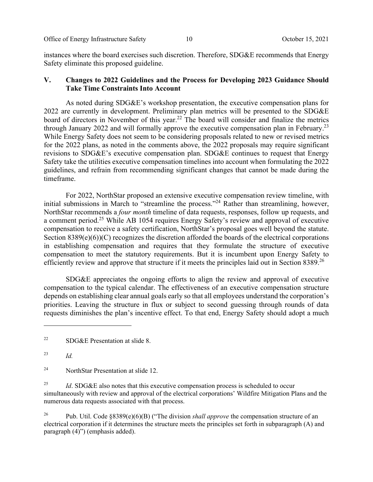instances where the board exercises such discretion. Therefore, SDG&E recommends that Energy Safety eliminate this proposed guideline.

## **V. Changes to 2022 Guidelines and the Process for Developing 2023 Guidance Should Take Time Constraints Into Account**

As noted during SDG&E's workshop presentation, the executive compensation plans for 2022 are currently in development. Preliminary plan metrics will be presented to the SDG&E board of directors in November of this year.<sup>22</sup> The board will consider and finalize the metrics through January 2022 and will formally approve the executive compensation plan in February.<sup>23</sup> While Energy Safety does not seem to be considering proposals related to new or revised metrics for the 2022 plans, as noted in the comments above, the 2022 proposals may require significant revisions to SDG&E's executive compensation plan. SDG&E continues to request that Energy Safety take the utilities executive compensation timelines into account when formulating the 2022 guidelines, and refrain from recommending significant changes that cannot be made during the timeframe.

For 2022, NorthStar proposed an extensive executive compensation review timeline, with initial submissions in March to "streamline the process."<sup>24</sup> Rather than streamlining, however, NorthStar recommends a *four month* timeline of data requests, responses, follow up requests, and a comment period.25 While AB 1054 requires Energy Safety's review and approval of executive compensation to receive a safety certification, NorthStar's proposal goes well beyond the statute. Section 8389(e)(6))(C) recognizes the discretion afforded the boards of the electrical corporations in establishing compensation and requires that they formulate the structure of executive compensation to meet the statutory requirements. But it is incumbent upon Energy Safety to efficiently review and approve that structure if it meets the principles laid out in Section 8389.<sup>26</sup>

SDG&E appreciates the ongoing efforts to align the review and approval of executive compensation to the typical calendar. The effectiveness of an executive compensation structure depends on establishing clear annual goals early so that all employees understand the corporation's priorities. Leaving the structure in flux or subject to second guessing through rounds of data requests diminishes the plan's incentive effect. To that end, Energy Safety should adopt a much

<sup>24</sup> NorthStar Presentation at slide 12.

<sup>25</sup> *Id*. SDG&E also notes that this executive compensation process is scheduled to occur simultaneously with review and approval of the electrical corporations' Wildfire Mitigation Plans and the numerous data requests associated with that process.

26 Pub. Util. Code §8389(e)(6)(B) ("The division *shall approve* the compensation structure of an electrical corporation if it determines the structure meets the principles set forth in subparagraph (A) and paragraph (4)") (emphasis added).

<sup>&</sup>lt;sup>22</sup> SDG&E Presentation at slide 8.

<sup>23</sup> *Id.*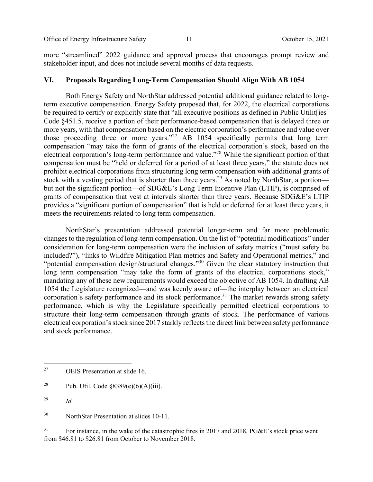Office of Energy Infrastructure Safety 11 Corober 15, 2021

more "streamlined" 2022 guidance and approval process that encourages prompt review and stakeholder input, and does not include several months of data requests.

### **VI. Proposals Regarding Long-Term Compensation Should Align With AB 1054**

Both Energy Safety and NorthStar addressed potential additional guidance related to longterm executive compensation. Energy Safety proposed that, for 2022, the electrical corporations be required to certify or explicitly state that "all executive positions as defined in Public Utilit [ies] Code §451.5, receive a portion of their performance-based compensation that is delayed three or more years, with that compensation based on the electric corporation's performance and value over those proceeding three or more years."<sup>27</sup> AB 1054 specifically permits that long term compensation "may take the form of grants of the electrical corporation's stock, based on the electrical corporation's long-term performance and value."28 While the significant portion of that compensation must be "held or deferred for a period of at least three years," the statute does not prohibit electrical corporations from structuring long term compensation with additional grants of stock with a vesting period that is shorter than three years.<sup>29</sup> As noted by NorthStar, a portion but not the significant portion—of SDG&E's Long Term Incentive Plan (LTIP), is comprised of grants of compensation that vest at intervals shorter than three years. Because SDG&E's LTIP provides a "significant portion of compensation" that is held or deferred for at least three years, it meets the requirements related to long term compensation.

NorthStar's presentation addressed potential longer-term and far more problematic changes to the regulation of long-term compensation. On the list of "potential modifications" under consideration for long-term compensation were the inclusion of safety metrics ("must safety be included?"), "links to Wildfire Mitigation Plan metrics and Safety and Operational metrics," and "potential compensation design/structural changes."<sup>30</sup> Given the clear statutory instruction that long term compensation "may take the form of grants of the electrical corporations stock," mandating any of these new requirements would exceed the objective of AB 1054. In drafting AB 1054 the Legislature recognized—and was keenly aware of—the interplay between an electrical corporation's safety performance and its stock performance.<sup>31</sup> The market rewards strong safety performance, which is why the Legislature specifically permitted electrical corporations to structure their long-term compensation through grants of stock. The performance of various electrical corporation's stock since 2017 starkly reflects the direct link between safety performance and stock performance.

<sup>31</sup> For instance, in the wake of the catastrophic fires in 2017 and 2018, PG&E's stock price went from \$46.81 to \$26.81 from October to November 2018.

<sup>27</sup> OEIS Presentation at slide 16.

<sup>&</sup>lt;sup>28</sup> Pub. Util. Code  $§8389(e)(6)(A)(iii)$ .

<sup>29</sup> *Id.*

<sup>30</sup> NorthStar Presentation at slides 10-11.